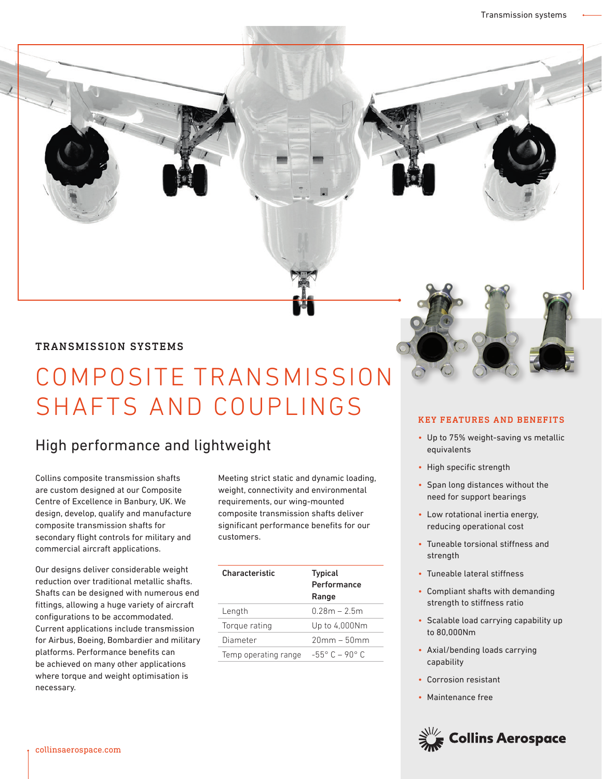#### TRANSMISSION SYSTEMS

# COMPOSITE TRANSMISSION SHAFTS AND COUPLINGS

## High performance and lightweight

Collins composite transmission shafts are custom designed at our Composite Centre of Excellence in Banbury, UK. We design, develop, qualify and manufacture composite transmission shafts for secondary flight controls for military and commercial aircraft applications.

Our designs deliver considerable weight reduction over traditional metallic shafts. Shafts can be designed with numerous end fittings, allowing a huge variety of aircraft configurations to be accommodated. Current applications include transmission for Airbus, Boeing, Bombardier and military platforms. Performance benefits can be achieved on many other applications where torque and weight optimisation is necessary.

Meeting strict static and dynamic loading, weight, connectivity and environmental requirements, our wing-mounted composite transmission shafts deliver significant performance benefits for our customers.

| <b>Characteristic</b> | <b>Typical</b><br>Performance<br>Range |
|-----------------------|----------------------------------------|
| Length                | $0.28m - 2.5m$                         |
| Torque rating         | Up to 4,000Nm                          |
| Diameter              | $20mm - 50mm$                          |
| Temp operating range  | $-55^{\circ}$ C $-90^{\circ}$ C        |

#### KEY FEATURES AND BENEFITS

- Up to 75% weight-saving vs metallic equivalents
- High specific strength
- Span long distances without the need for support bearings
- Low rotational inertia energy, reducing operational cost
- Tuneable torsional stiffness and strength
- Tuneable lateral stiffness
- Compliant shafts with demanding strength to stiffness ratio
- Scalable load carrying capability up to 80,000Nm
- Axial/bending loads carrying capability
- Corrosion resistant
- Maintenance free